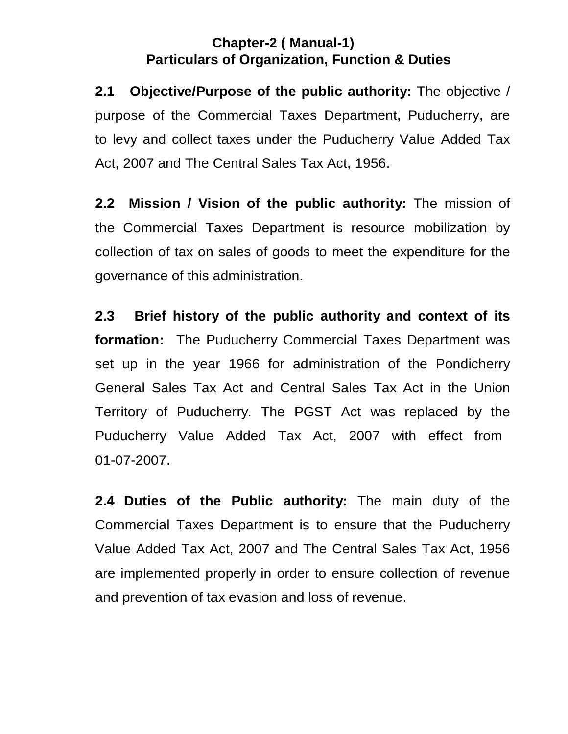## **Chapter-2 ( Manual-1) Particulars of Organization, Function & Duties**

 $2.1$  purpose of the Commercial Taxes Department, Puducherry, are to levy and collect taxes under the Puducherry Value Added Tax Act, 2007 and The Central Sales Tax Act, 1956. **2.1 Objective/Purpose of the public authority:** The objective /

 $2.2$  the Commercial Taxes Department is resource mobilization by collection of tax on sales of goods to meet the expenditure for the governance of this administration. **Mission / Vision of the public authority:** The mission of

 $2.3$  **formation:** The Puducherry Commercial Taxes Department was set up in the year 1966 for administration of the Pondicherry General Sales Tax Act and Central Sales Tax Act in the Union Territory of Puducherry. The PGST Act was replaced by the Puducherry Value Added Tax Act, 2007 with effect from 01-07-2007. **2.3 Brief history of the public authority and context of its** 

 **2.4 Duties of the Public authority:** The main duty of the Commercial Taxes Department is to ensure that the Puducherry Value Added Tax Act, 2007 and The Central Sales Tax Act, 1956 are implemented properly in order to ensure collection of revenue and prevention of tax evasion and loss of revenue.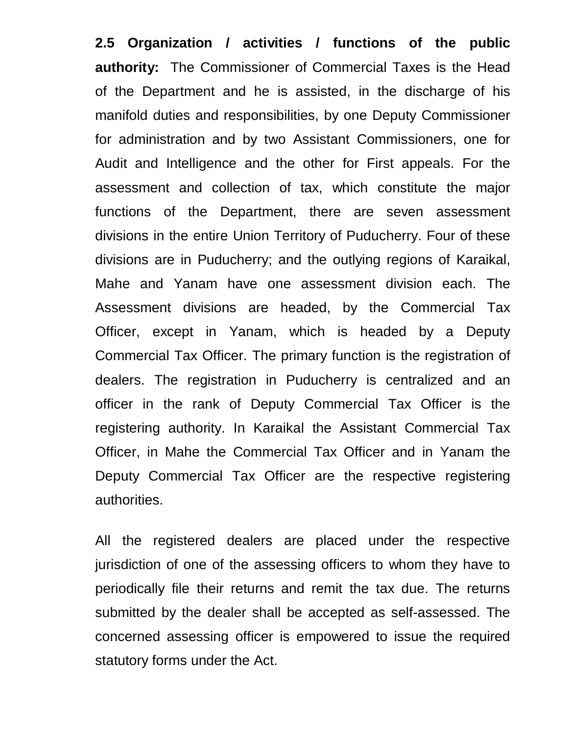**2.5 Organization / activities / functions of the public authority:** The Commissioner of Commercial Taxes is the Head of the Department and he is assisted, in the discharge of his manifold duties and responsibilities, by one Deputy Commissioner for administration and by two Assistant Commissioners, one for Audit and Intelligence and the other for First appeals. For the assessment and collection of tax, which constitute the major functions of the Department, there are seven assessment divisions in the entire Union Territory of Puducherry. Four of these divisions are in Puducherry; and the outlying regions of Karaikal, Mahe and Yanam have one assessment division each. The Assessment divisions are headed, by the Commercial Tax Officer, except in Yanam, which is headed by a Deputy Commercial Tax Officer. The primary function is the registration of dealers. The registration in Puducherry is centralized and an officer in the rank of Deputy Commercial Tax Officer is the registering authority. In Karaikal the Assistant Commercial Tax Officer, in Mahe the Commercial Tax Officer and in Yanam the Deputy Commercial Tax Officer are the respective registering authorities.

 All the registered dealers are placed under the respective jurisdiction of one of the assessing officers to whom they have to periodically file their returns and remit the tax due. The returns submitted by the dealer shall be accepted as self-assessed. The concerned assessing officer is empowered to issue the required statutory forms under the Act.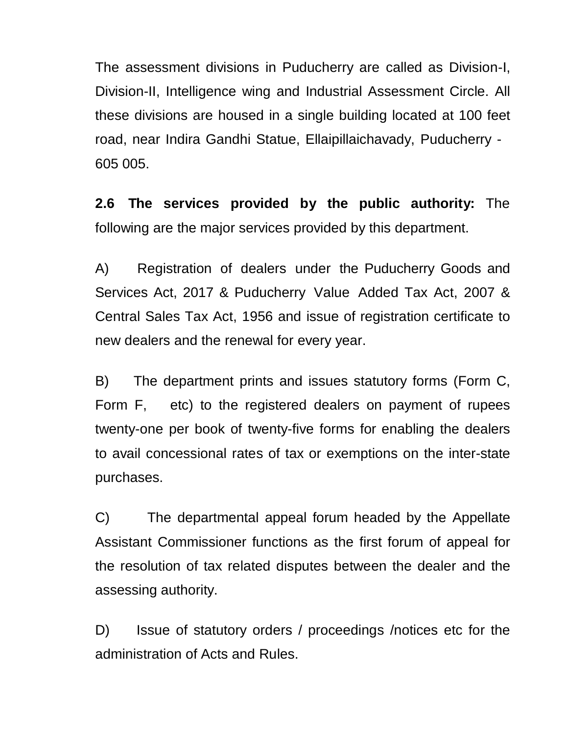The assessment divisions in Puducherry are called as Division-I, Division-II, Intelligence wing and Industrial Assessment Circle. All these divisions are housed in a single building located at 100 feet road, near Indira Gandhi Statue, Ellaipillaichavady, Puducherry - 605 005.

 $2.6$  following are the major services provided by this department. **2.6 The services provided by the public authority:** The

 Services Act, 2017 & Puducherry Value Added Tax Act, 2007 & Central Sales Tax Act, 1956 and issue of registration certificate to new dealers and the renewal for every year. A) Registration of dealers under the Puducherry Goods and

Form F. twenty-one per book of twenty-five forms for enabling the dealers to avail concessional rates of tax or exemptions on the inter-state B) The department prints and issues statutory forms (Form C, etc) to the registered dealers on payment of rupees purchases.

 Assistant Commissioner functions as the first forum of appeal for the resolution of tax related disputes between the dealer and the assessing authority. C) The departmental appeal forum headed by the Appellate

 administration of Acts and Rules. D) Issue of statutory orders / proceedings /notices etc for the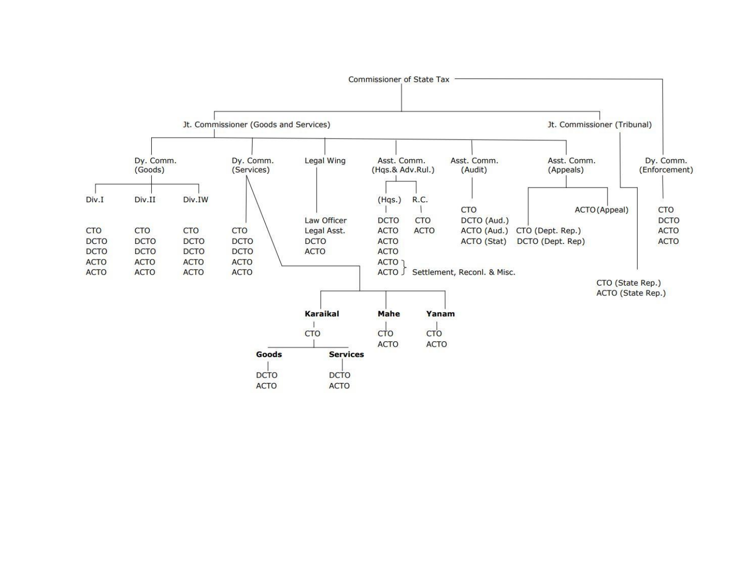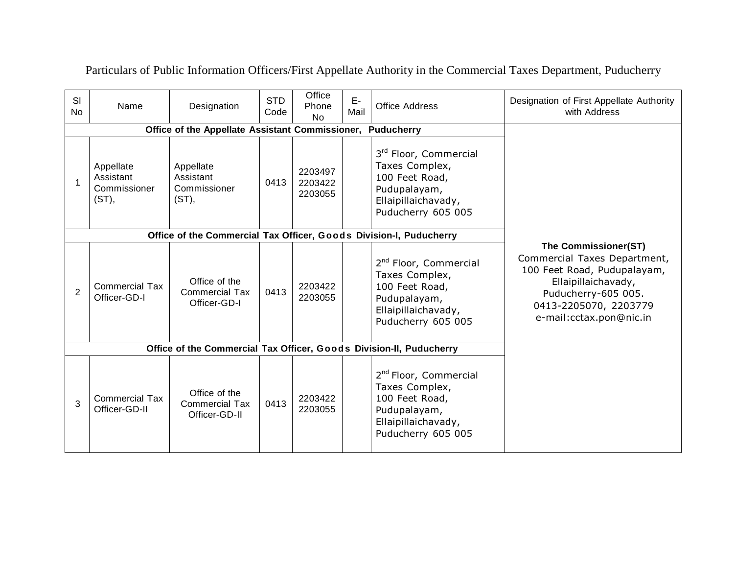| SI<br>No       | Name                                            | Designation                                                         | <b>STD</b><br>Code | Office<br>Phone<br><b>No</b>  | $E-$<br>Mail | <b>Office Address</b>                                                                                                              | Designation of First Appellate Authority<br>with Address                                                                                                                              |
|----------------|-------------------------------------------------|---------------------------------------------------------------------|--------------------|-------------------------------|--------------|------------------------------------------------------------------------------------------------------------------------------------|---------------------------------------------------------------------------------------------------------------------------------------------------------------------------------------|
|                | Office of the Appellate Assistant Commissioner, |                                                                     |                    |                               |              |                                                                                                                                    |                                                                                                                                                                                       |
|                | Appellate<br>Assistant<br>Commissioner<br>(ST), | Appellate<br>Assistant<br>Commissioner<br>$(ST)$ ,                  | 0413               | 2203497<br>2203422<br>2203055 |              | 3rd Floor, Commercial<br>Taxes Complex,<br>100 Feet Road,<br>Pudupalayam,<br>Ellaipillaichavady,<br>Puducherry 605 005             |                                                                                                                                                                                       |
|                |                                                 | Office of the Commercial Tax Officer, Goods Division-I, Puducherry  |                    |                               |              |                                                                                                                                    |                                                                                                                                                                                       |
| $\overline{2}$ | <b>Commercial Tax</b><br>Officer-GD-I           | Office of the<br><b>Commercial Tax</b><br>Officer-GD-I              | 0413               | 2203422<br>2203055            |              | 2 <sup>nd</sup> Floor, Commercial<br>Taxes Complex,<br>100 Feet Road,<br>Pudupalayam,<br>Ellaipillaichavady,<br>Puducherry 605 005 | The Commissioner(ST)<br>Commercial Taxes Department,<br>100 Feet Road, Pudupalayam,<br>Ellaipillaichavady,<br>Puducherry-605 005.<br>0413-2205070, 2203779<br>e-mail:cctax.pon@nic.in |
|                |                                                 | Office of the Commercial Tax Officer, Goods Division-II, Puducherry |                    |                               |              |                                                                                                                                    |                                                                                                                                                                                       |
| 3              | <b>Commercial Tax</b><br>Officer-GD-II          | Office of the<br><b>Commercial Tax</b><br>Officer-GD-II             | 0413               | 2203422<br>2203055            |              | 2 <sup>nd</sup> Floor, Commercial<br>Taxes Complex,<br>100 Feet Road,<br>Pudupalayam,<br>Ellaipillaichavady,<br>Puducherry 605 005 |                                                                                                                                                                                       |

Particulars of Public Information Officers/First Appellate Authority in the Commercial Taxes Department, Puducherry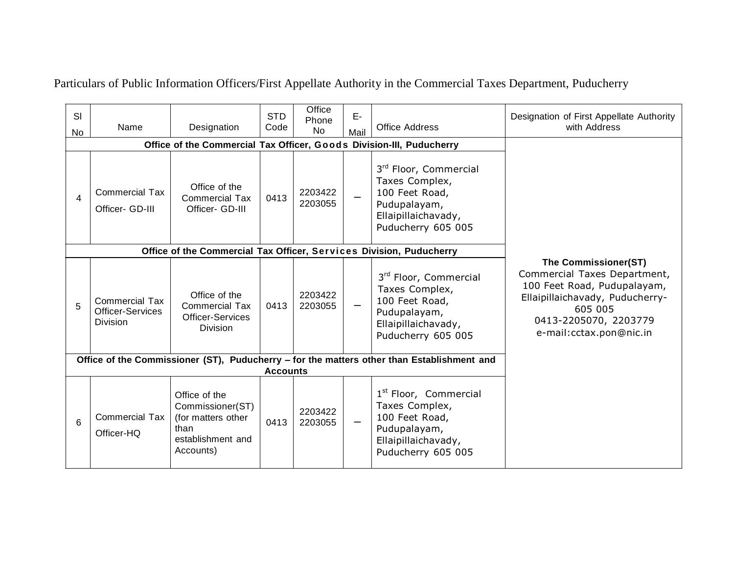Particulars of Public Information Officers/First Appellate Authority in the Commercial Taxes Department, Puducherry

|                                                                      |                                                                     |                                                                                                   |                 | Office             |                          |                                                                                                                                    |                                                                                                                                                                                       |
|----------------------------------------------------------------------|---------------------------------------------------------------------|---------------------------------------------------------------------------------------------------|-----------------|--------------------|--------------------------|------------------------------------------------------------------------------------------------------------------------------------|---------------------------------------------------------------------------------------------------------------------------------------------------------------------------------------|
| <b>SI</b>                                                            |                                                                     |                                                                                                   | <b>STD</b>      | Phone              | E-                       |                                                                                                                                    | Designation of First Appellate Authority                                                                                                                                              |
| <b>No</b>                                                            | Name                                                                | Designation                                                                                       | Code            | <b>No</b>          | Mail                     | <b>Office Address</b>                                                                                                              | with Address                                                                                                                                                                          |
| Office of the Commercial Tax Officer, Goods Division-III, Puducherry |                                                                     |                                                                                                   |                 |                    |                          |                                                                                                                                    |                                                                                                                                                                                       |
| 4                                                                    | <b>Commercial Tax</b><br>Officer- GD-III                            | Office of the<br><b>Commercial Tax</b><br>Officer- GD-III                                         | 0413            | 2203422<br>2203055 |                          | 3rd Floor, Commercial<br>Taxes Complex,<br>100 Feet Road,<br>Pudupalayam,<br>Ellaipillaichavady,<br>Puducherry 605 005             |                                                                                                                                                                                       |
|                                                                      |                                                                     | Office of the Commercial Tax Officer, Services Division, Puducherry                               |                 |                    |                          |                                                                                                                                    |                                                                                                                                                                                       |
| 5                                                                    | <b>Commercial Tax</b><br><b>Officer-Services</b><br><b>Division</b> | Office of the<br><b>Commercial Tax</b><br><b>Officer-Services</b><br><b>Division</b>              | 0413            | 2203422<br>2203055 |                          | 3rd Floor, Commercial<br>Taxes Complex,<br>100 Feet Road,<br>Pudupalayam,<br>Ellaipillaichavady,<br>Puducherry 605 005             | The Commissioner(ST)<br>Commercial Taxes Department,<br>100 Feet Road, Pudupalayam,<br>Ellaipillaichavady, Puducherry-<br>605 005<br>0413-2205070, 2203779<br>e-mail:cctax.pon@nic.in |
|                                                                      |                                                                     |                                                                                                   |                 |                    |                          | Office of the Commissioner (ST), Puducherry - for the matters other than Establishment and                                         |                                                                                                                                                                                       |
|                                                                      |                                                                     |                                                                                                   | <b>Accounts</b> |                    |                          |                                                                                                                                    |                                                                                                                                                                                       |
| 6                                                                    | <b>Commercial Tax</b><br>Officer-HQ                                 | Office of the<br>Commissioner(ST)<br>(for matters other<br>than<br>establishment and<br>Accounts) | 0413            | 2203422<br>2203055 | $\overline{\phantom{0}}$ | 1 <sup>st</sup> Floor, Commercial<br>Taxes Complex,<br>100 Feet Road,<br>Pudupalayam,<br>Ellaipillaichavady,<br>Puducherry 605 005 |                                                                                                                                                                                       |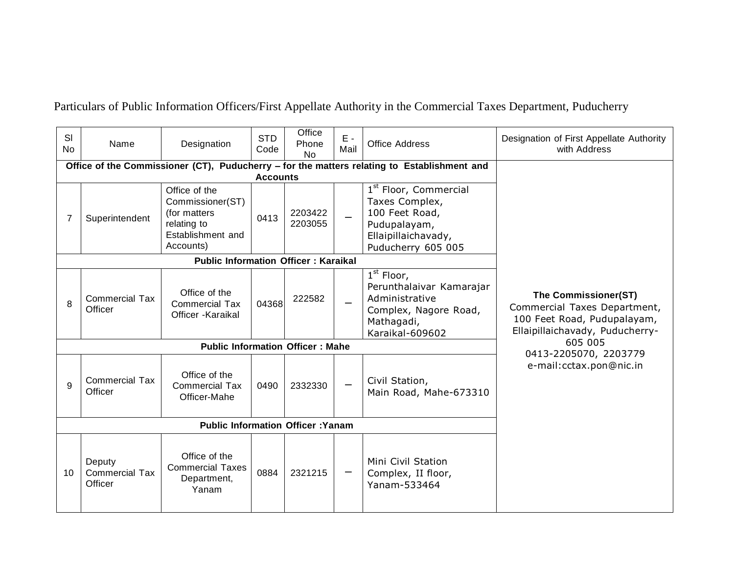Particulars of Public Information Officers/First Appellate Authority in the Commercial Taxes Department, Puducherry

| SI<br>N <sub>o</sub> | Name                                                                                        | Designation                                                                                        | <b>STD</b><br>Code      | Office<br>Phone<br><b>No</b>            | E -<br>Mail              | <b>Office Address</b>                                                                                                              | Designation of First Appellate Authority<br>with Address                                                                                                   |
|----------------------|---------------------------------------------------------------------------------------------|----------------------------------------------------------------------------------------------------|-------------------------|-----------------------------------------|--------------------------|------------------------------------------------------------------------------------------------------------------------------------|------------------------------------------------------------------------------------------------------------------------------------------------------------|
|                      | Office of the Commissioner (CT), Puducherry - for the matters relating to Establishment and |                                                                                                    |                         |                                         |                          |                                                                                                                                    |                                                                                                                                                            |
| 7                    | Superintendent                                                                              | Office of the<br>Commissioner(ST)<br>(for matters<br>relating to<br>Establishment and<br>Accounts) | <b>Accounts</b><br>0413 | 2203422<br>2203055                      |                          | 1 <sup>st</sup> Floor, Commercial<br>Taxes Complex,<br>100 Feet Road,<br>Pudupalayam,<br>Ellaipillaichavady,<br>Puducherry 605 005 |                                                                                                                                                            |
|                      |                                                                                             | <b>Public Information Officer: Karaikal</b>                                                        |                         |                                         |                          |                                                                                                                                    |                                                                                                                                                            |
| 8                    | <b>Commercial Tax</b><br>Officer                                                            | Office of the<br><b>Commercial Tax</b><br>Officer - Karaikal                                       | 04368                   | 222582                                  | $\overline{\phantom{0}}$ | $1st$ Floor,<br>Perunthalaivar Kamarajar<br>Administrative<br>Complex, Nagore Road,<br>Mathagadi,<br>Karaikal-609602               | The Commissioner(ST)<br>Commercial Taxes Department,<br>100 Feet Road, Pudupalayam,<br>Ellaipillaichavady, Puducherry-<br>605 005<br>0413-2205070, 2203779 |
|                      |                                                                                             |                                                                                                    |                         | <b>Public Information Officer: Mahe</b> |                          |                                                                                                                                    |                                                                                                                                                            |
| 9                    | <b>Commercial Tax</b><br>Officer                                                            | Office of the<br><b>Commercial Tax</b><br>Officer-Mahe                                             | 0490                    | 2332330                                 |                          | Civil Station,<br>Main Road, Mahe-673310                                                                                           | e-mail:cctax.pon@nic.in                                                                                                                                    |
|                      |                                                                                             |                                                                                                    |                         |                                         |                          |                                                                                                                                    |                                                                                                                                                            |
| 10 <sup>°</sup>      | Deputy<br><b>Commercial Tax</b><br>Officer                                                  | Office of the<br><b>Commercial Taxes</b><br>Department,<br>Yanam                                   | 0884                    | 2321215                                 |                          | Mini Civil Station<br>Complex, II floor,<br>Yanam-533464                                                                           |                                                                                                                                                            |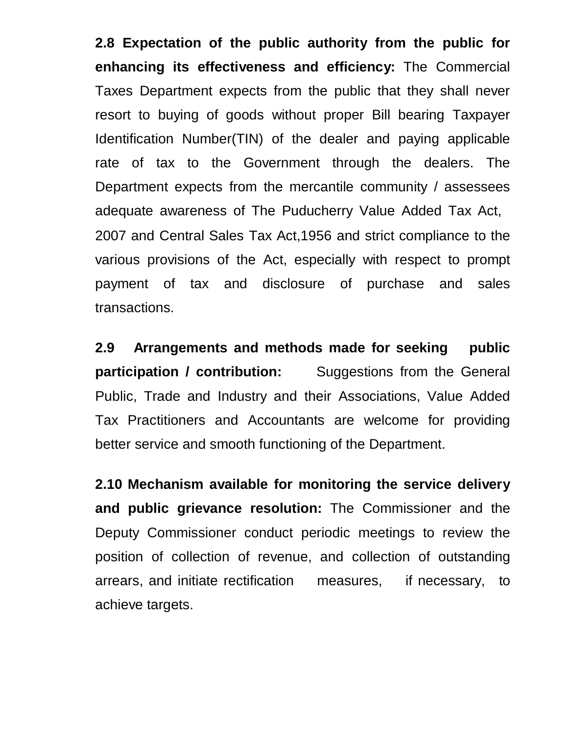**2.8 Expectation of the public authority from the public for enhancing its effectiveness and efficiency:** The Commercial Taxes Department expects from the public that they shall never resort to buying of goods without proper Bill bearing Taxpayer Identification Number(TIN) of the dealer and paying applicable rate of tax to the Government through the dealers. The Department expects from the mercantile community / assessees adequate awareness of The Puducherry Value Added Tax Act, 2007 and Central Sales Tax Act,1956 and strict compliance to the various provisions of the Act, especially with respect to prompt payment of tax and disclosure of purchase and sales transactions.

 **participation / contribution:**  Public, Trade and Industry and their Associations, Value Added Tax Practitioners and Accountants are welcome for providing better service and smooth functioning of the Department. **2.9 Arrangements and methods made for seeking public Suggestions from the General** 

 **2.10 Mechanism available for monitoring the service delivery and public grievance resolution:** The Commissioner and the Deputy Commissioner conduct periodic meetings to review the position of collection of revenue, and collection of outstanding arrears, and initiate rectification measures, if necessary, to achieve targets.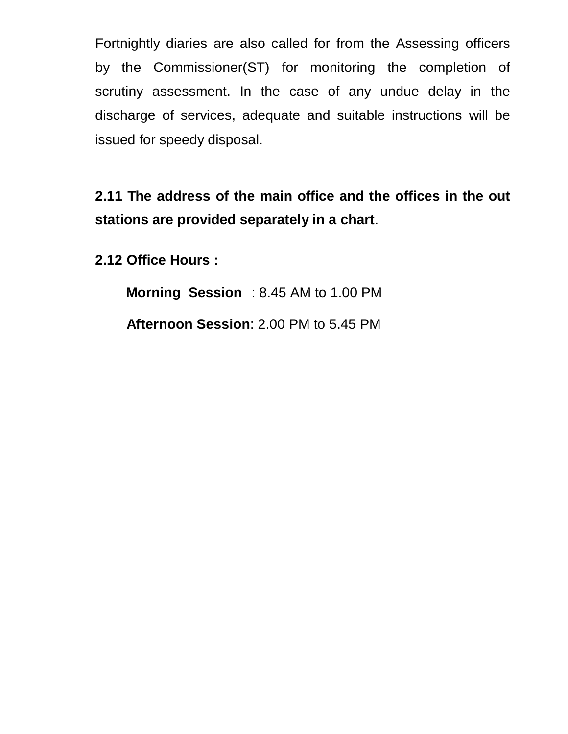Fortnightly diaries are also called for from the Assessing officers by the Commissioner(ST) for monitoring the completion of scrutiny assessment. In the case of any undue delay in the discharge of services, adequate and suitable instructions will be issued for speedy disposal.

 **2.11 The address of the main office and the offices in the out stations are provided separately in a chart**.

**2.12 Office Hours :** 

 **Morning Session** : 8.45 AM to 1.00 PM **Afternoon Session**: 2.00 PM to 5.45 PM